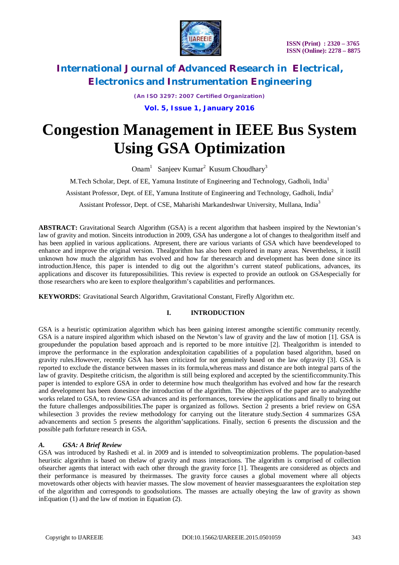

*(An ISO 3297: 2007 Certified Organization)*

**Vol. 5, Issue 1, January 2016**

# **Congestion Management in IEEE Bus System Using GSA Optimization**

Onam<sup>1</sup> Sanjeev Kumar<sup>2</sup> Kusum Choudhary<sup>3</sup>

M.Tech Scholar, Dept. of EE, Yamuna Institute of Engineering and Technology, Gadholi, India<sup>1</sup>

Assistant Professor, Dept. of EE, Yamuna Institute of Engineering and Technology, Gadholi, India<sup>2</sup>

Assistant Professor, Dept. of CSE, Maharishi Markandeshwar University, Mullana, India<sup>3</sup>

**ABSTRACT:** Gravitational Search Algorithm (GSA) is a recent algorithm that hasbeen inspired by the Newtonian's law of gravity and motion. Sinceits introduction in 2009, GSA has undergone a lot of changes to thealgorithm itself and has been applied in various applications. Atpresent, there are various variants of GSA which have beendeveloped to enhance and improve the original version. Thealgorithm has also been explored in many areas. Nevertheless, it isstill unknown how much the algorithm has evolved and how far theresearch and development has been done since its introduction.Hence, this paper is intended to dig out the algorithm's current stateof publications, advances, its applications and discover its futurepossibilities. This review is expected to provide an outlook on GSAespecially for those researchers who are keen to explore thealgorithm's capabilities and performances.

**KEYWORDS**: Gravitational Search Algorithm, Gravitational Constant, Firefly Algorithm etc.

## **I. INTRODUCTION**

GSA is a heuristic optimization algorithm which has been gaining interest amongthe scientific community recently. GSA is a nature inspired algorithm which isbased on the Newton's law of gravity and the law of motion [1]. GSA is groupedunder the population based approach and is reported to be more intuitive [2]. Thealgorithm is intended to improve the performance in the exploration andexploitation capabilities of a population based algorithm, based on gravity rules.However, recently GSA has been criticized for not genuinely based on the law ofgravity [3]. GSA is reported to exclude the distance between masses in its formula,whereas mass and distance are both integral parts of the law of gravity. Despitethe criticism, the algorithm is still being explored and accepted by the scientificcommunity.This paper is intended to explore GSA in order to determine how much thealgorithm has evolved and how far the research and development has been donesince the introduction of the algorithm. The objectives of the paper are to analyzedthe works related to GSA, to review GSA advances and its performances, toreview the applications and finally to bring out the future challenges andpossibilities.The paper is organized as follows. Section 2 presents a brief review on GSA whilesection 3 provides the review methodology for carrying out the literature study. Section 4 summarizes GSA advancements and section 5 presents the algorithm'sapplications. Finally, section 6 presents the discussion and the possible path forfuture research in GSA.

## *A. GSA: A Brief Review*

GSA was introduced by Rashedi et al. in 2009 and is intended to solveoptimization problems. The population-based heuristic algorithm is based on thelaw of gravity and mass interactions. The algorithm is comprised of collection ofsearcher agents that interact with each other through the gravity force [1]. Theagents are considered as objects and their performance is measured by theirmasses. The gravity force causes a global movement where all objects movetowards other objects with heavier masses. The slow movement of heavier massesguarantees the exploitation step of the algorithm and corresponds to goodsolutions. The masses are actually obeying the law of gravity as shown inEquation (1) and the law of motion in Equation (2).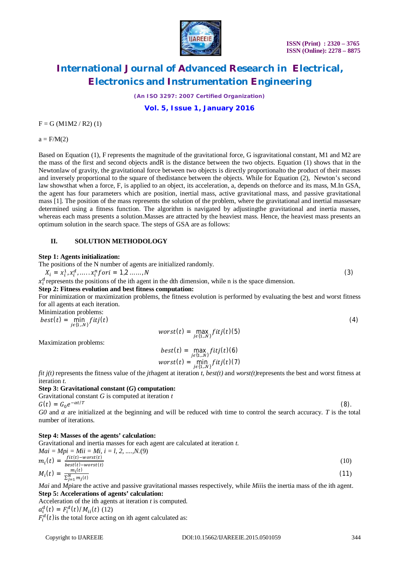

*(An ISO 3297: 2007 Certified Organization)*

**Vol. 5, Issue 1, January 2016**

 $F = G (M1M2 / R2) (1)$ 

 $a = F/M(2)$ 

Based on Equation (1), F represents the magnitude of the gravitational force, G isgravitational constant, M1 and M2 are the mass of the first and second objects andR is the distance between the two objects. Equation (1) shows that in the Newtonlaw of gravity, the gravitational force between two objects is directly proportionalto the product of their masses and inversely proportional to the square of thedistance between the objects. While for Equation (2), Newton's second law showsthat when a force, F, is applied to an object, its acceleration, a, depends on theforce and its mass, M.In GSA, the agent has four parameters which are position, inertial mass, active gravitational mass, and passive gravitational mass [1]. The position of the mass represents the solution of the problem, where the gravitational and inertial massesare determined using a fitness function. The algorithm is navigated by adjustingthe gravitational and inertia masses, whereas each mass presents a solution.Masses are attracted by the heaviest mass. Hence, the heaviest mass presents an optimum solution in the search space. The steps of GSA are as follows:

#### **II. SOLUTION METHODOLOGY**

#### **Step 1: Agents initialization:**

The positions of the N number of agents are initialized randomly.

$$
X_i = x_i^1, x_i^d, \dots, x_i^n for i = 1, 2, \dots, N
$$
\n(3)

 $x_i^d$  represents the positions of the ith agent in the dth dimension, while n is the space dimension.

#### **Step 2: Fitness evolution and best fitness computation:**

For minimization or maximization problems, the fitness evolution is performed by evaluating the best and worst fitness for all agents at each iteration.

Minimization problems:

 $best(t) = \min\limits_{j \in \{1..N\}}$  $fitj(t)$  (4)  $worst(t) = \max_{j \in \{1,..N\}} fitj(t)(5)$ 

Maximization problems:

$$
best(t) = \max_{j \in \{1,..N\}} fitj(t)(6)
$$
  
worst(t) = min<sub>j \in \{1,..N\}} fitj(t)(7)</sub>

*fit j(t)* represents the fitness value of the *jth*agent at iteration *t*, *best(t)* and *worst(t)*represents the best and worst fitness at iteration *t*.

#### **Step 3: Gravitational constant (***G***) computation:**

Gravitational constant *G* is computed at iteration *t* 

 $G(t) = G_0 e^{-\alpha t/T}$ 

 $G0$  and  $\alpha$  are initialized at the beginning and will be reduced with time to control the search accuracy. *T* is the total number of iterations.

#### **Step 4: Masses of the agents' calculation:**

Gravitational and inertia masses for each agent are calculated at iteration *t*.

$$
Mai = Mpi = Mi = Mi, i = l, 2, ..., N. (9)
$$
  
\n
$$
m_i(t) = \frac{fit(t) - worst(t)}{best(t) - worst(t)}
$$
  
\n
$$
M_i(t) = \frac{m_i(t)}{N}
$$
 (11)

$$
M_i(t) = \frac{m_i(t)}{\sum_{j=1}^{N} m_j(t)}
$$
(11)  
Mail and Minira the active and passive gravitational masses respectively, while Miiis the inertia mass of the ith agent

*Mai* and *Mpi*are the active and passive gravitational masses respectively, while *Mii*is the inertia mass of the ith agent. **Step 5: Accelerations of agents' calculation:**

Acceleration of the ith agents at iteration *t* is computed.

 $a_i^d(t) = F_i^d(t)/M_{ii}(t)$  (12)

 $F_i^d(t)$  is the total force acting on ith agent calculated as:

(8).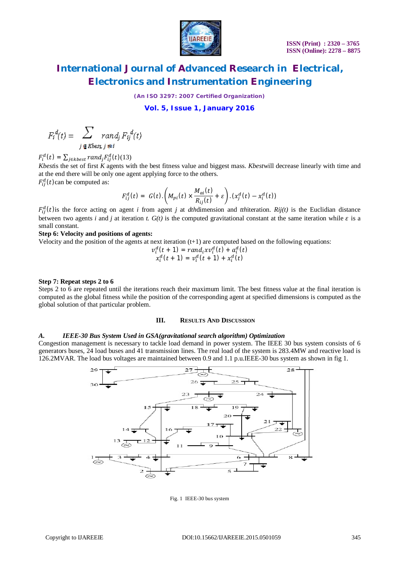

*(An ISO 3297: 2007 Certified Organization)*

**Vol. 5, Issue 1, January 2016**

$$
F_i^d(t) = \sum_{i \in Rbest, i \neq i} rand_j F_{ij}^d(t)
$$

 $F_i^d(t) = \sum_{j \in kbest} rand_j F_{ij}^d(t)$ (13) *Kbest*is the set of first *K* agents with the best fitness value and biggest mass. *Kbest*will decrease linearly with time and at the end there will be only one agent applying force to the others.  $F_{ij}^d(t)$  can be computed as:

$$
F_{ij}^d(t) = G(t) \cdot \left( M_{pi}(t) \times \frac{M_{ai}(t)}{R_{ij}(t)} + \varepsilon \right) \cdot (x_j^d(t) - x_i^d(t))
$$

 $F_{ij}^d(t)$  is the force acting on agent *i* from agent *j* at *dth*dimension and *tthiteration. Rij(t)* is the Euclidian distance between two agents *i* and *j* at iteration *t.*  $G(t)$  is the computed gravitational constant at the same iteration while  $\varepsilon$  is a small constant.

#### **Step 6: Velocity and positions of agents:**

Velocity and the position of the agents at next iteration  $(t+1)$  are computed based on the following equations:

$$
v_i^d(t + 1) = rand_i x v_i^d(t) + a_i^d(t)
$$
  

$$
x_i^d(t + 1) = v_i^d(t + 1) + x_i^d(t)
$$

#### **Step 7: Repeat steps 2 to 6**

Steps 2 to 6 are repeated until the iterations reach their maximum limit. The best fitness value at the final iteration is computed as the global fitness while the position of the corresponding agent at specified dimensions is computed as the global solution of that particular problem.

#### **III. RESULTS AND DISCUSSION**

#### *A. IEEE-30 Bus System Used in GSA(gravitational search algorithm) Optimization*

Congestion management is necessary to tackle load demand in power system. The IEEE 30 bus system consists of 6 generators buses, 24 load buses and 41 transmission lines. The real load of the system is 283.4MW and reactive load is 126.2MVAR. The load bus voltages are maintained between 0.9 and 1.1 p.u.IEEE-30 bus system as shown in fig 1.



Fig. 1 IEEE-30 bus system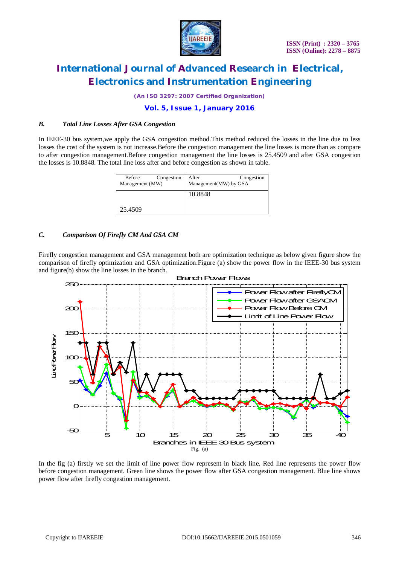

*(An ISO 3297: 2007 Certified Organization)*

## **Vol. 5, Issue 1, January 2016**

### *B. Total Line Losses After GSA Congestion*

In IEEE-30 bus system,we apply the GSA congestion method.This method reduced the losses in the line due to less losses the cost of the system is not increase.Before the congestion management the line losses is more than as compare to after congestion management.Before congestion management the line losses is 25.4509 and after GSA congestion the losses is 10.8848. The total line loss after and before congestion as shown in table.

| Congestion<br>Before<br>Management (MW) | Congestion<br>After<br>Management(MW) by GSA |
|-----------------------------------------|----------------------------------------------|
|                                         | 10.8848                                      |
| 25.4509                                 |                                              |

### *C. Comparison Of Firefly CM And GSA CM*

Firefly congestion management and GSA management both are optimization technique as below given figure show the comparison of firefly optimization and GSA optimization.Figure (a) show the power flow in the IEEE-30 bus system and figure(b) show the line losses in the branch.



#### Branch Power Flows

In the fig (a) firstly we set the limit of line power flow represent in black line. Red line represents the power flow before congestion management. Green line shows the power flow after GSA congestion management. Blue line shows power flow after firefly congestion management.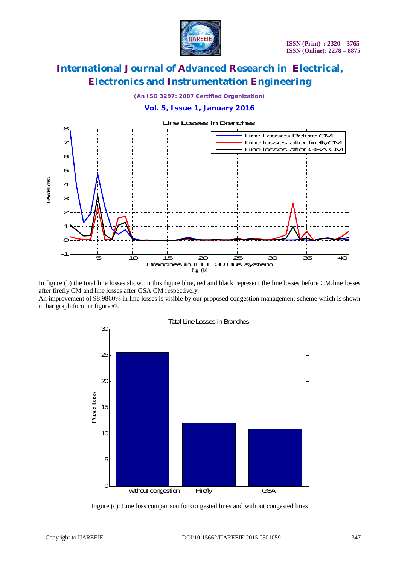

*(An ISO 3297: 2007 Certified Organization)*

# **Vol. 5, Issue 1, January 2016**



In figure (b) the total line losses show. In this figure blue, red and black represent the line losses before CM,line losses after firefly CM and line losses after GSA CM respectively.

An improvement of 98.9860% in line losses is visible by our proposed congestion management scheme which is shown in bar graph form in figure ©.



Figure (c): Line loss comparison for congested lines and without congested lines